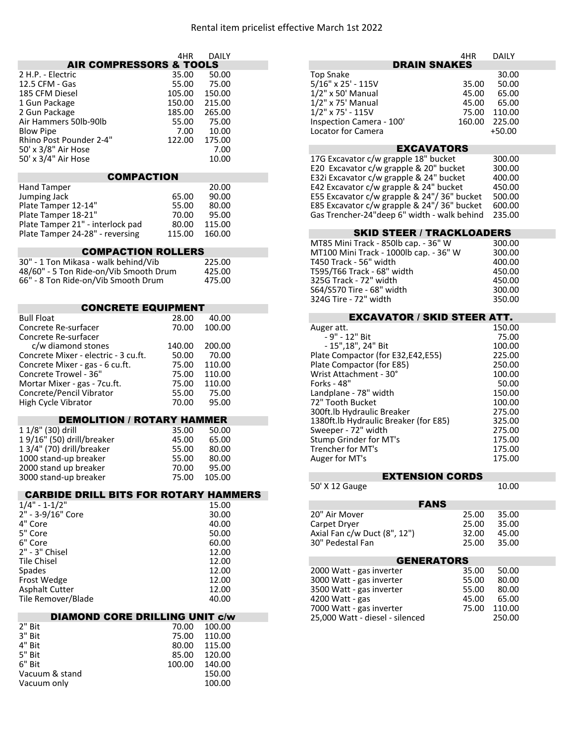| <b>AIR COMPRESSORS &amp; TOOLS</b>                       | 4HR            | <b>DAILY</b>     | <b>DRAIN SNAKES</b>                                 | 4HR    | <b>DAILY</b>     |
|----------------------------------------------------------|----------------|------------------|-----------------------------------------------------|--------|------------------|
|                                                          |                |                  |                                                     |        |                  |
| 2 H.P. - Electric                                        | 35.00          | 50.00            | <b>Top Snake</b>                                    |        | 30.00            |
| 12.5 CFM - Gas                                           | 55.00          | 75.00            | 5/16" x 25' - 115V                                  | 35.00  | 50.00            |
| 185 CFM Diesel                                           | 105.00         | 150.00           | $1/2$ " x 50' Manual                                | 45.00  | 65.00            |
| 1 Gun Package                                            | 150.00         | 215.00           | 1/2" x 75' Manual                                   | 45.00  | 65.00            |
| 2 Gun Package                                            | 185.00         | 265.00           | $1/2$ " x 75' - 115V                                | 75.00  | 110.00           |
| Air Hammers 50lb-90lb                                    | 55.00          | 75.00            | Inspection Camera - 100'                            | 160.00 | 225.00           |
| <b>Blow Pipe</b>                                         | 7.00           | 10.00            | Locator for Camera                                  |        | $+50.00$         |
| Rhino Post Pounder 2-4"                                  | 122.00         | 175.00           |                                                     |        |                  |
| 50' x 3/8" Air Hose                                      |                | 7.00             | <b>EXCAVATORS</b>                                   |        |                  |
| 50' x 3/4" Air Hose                                      |                | 10.00            | 17G Excavator c/w grapple 18" bucket                |        | 300.00           |
|                                                          |                |                  | E20 Excavator c/w grapple & 20" bucket              |        | 300.00           |
| <b>COMPACTION</b>                                        |                |                  | E32i Excavator c/w grapple & 24" bucket             |        | 400.00           |
| <b>Hand Tamper</b>                                       |                | 20.00            | E42 Excavator c/w grapple & 24" bucket              |        | 450.00           |
| Jumping Jack                                             | 65.00          | 90.00            | E55 Excavator c/w grapple & 24"/36" bucket          |        | 500.00           |
| Plate Tamper 12-14"                                      | 55.00          | 80.00            | E85 Excavator c/w grapple & 24"/36" bucket          |        | 600.00           |
| Plate Tamper 18-21"                                      | 70.00          | 95.00            | Gas Trencher-24"deep 6" width - walk behind         |        | 235.00           |
| Plate Tamper 21" - interlock pad                         | 80.00          | 115.00           |                                                     |        |                  |
| Plate Tamper 24-28" - reversing                          | 115.00         | 160.00           | <b>SKID STEER / TRACKLOADERS</b>                    |        |                  |
|                                                          |                |                  | MT85 Mini Track - 850lb cap. - 36" W                |        | 300.00           |
| <b>COMPACTION ROLLERS</b>                                |                |                  | MT100 Mini Track - 1000lb cap. - 36" W              |        | 300.00           |
| 30" - 1 Ton Mikasa - walk behind/Vib                     |                | 225.00           | T450 Track - 56" width                              |        | 400.00           |
| 48/60" - 5 Ton Ride-on/Vib Smooth Drum                   |                | 425.00           | T595/T66 Track - 68" width                          |        | 450.00           |
| 66" - 8 Ton Ride-on/Vib Smooth Drum                      |                | 475.00           | 325G Track - 72" width                              |        | 450.00           |
|                                                          |                |                  | S64/S570 Tire - 68" width                           |        | 300.00           |
|                                                          |                |                  | 324G Tire - 72" width                               |        | 350.00           |
| <b>CONCRETE EQUIPMENT</b>                                |                |                  | <b>EXCAVATOR / SKID STEER ATT.</b>                  |        |                  |
| <b>Bull Float</b>                                        | 28.00          | 40.00            |                                                     |        |                  |
| Concrete Re-surfacer                                     | 70.00          | 100.00           | Auger att.                                          |        | 150.00           |
| Concrete Re-surfacer                                     |                |                  | - 9" - 12" Bit                                      |        | 75.00            |
| c/w diamond stones                                       | 140.00         | 200.00           | - 15", 18", 24" Bit                                 |        | 100.00           |
| Concrete Mixer - electric - 3 cu.ft.                     | 50.00<br>75.00 | 70.00<br>110.00  | Plate Compactor (for E32,E42,E55)                   |        | 225.00<br>250.00 |
| Concrete Mixer - gas - 6 cu.ft.<br>Concrete Trowel - 36" | 75.00          | 110.00           | Plate Compactor (for E85)<br>Wrist Attachment - 30° |        | 100.00           |
| Mortar Mixer - gas - 7cu.ft.                             | 75.00          | 110.00           | Forks - 48"                                         |        | 50.00            |
| Concrete/Pencil Vibrator                                 | 55.00          | 75.00            | Landplane - 78" width                               |        | 150.00           |
| High Cycle Vibrator                                      | 70.00          | 95.00            | 72" Tooth Bucket                                    |        | 100.00           |
|                                                          |                |                  | 300ft.lb Hydraulic Breaker                          |        | 275.00           |
| <b>DEMOLITION / ROTARY HAMMER</b>                        |                |                  | 1380ft.lb Hydraulic Breaker (for E85)               |        | 325.00           |
| 1 1/8" (30) drill                                        | 35.00          | 50.00            | Sweeper - 72" width                                 |        | 275.00           |
| 19/16" (50) drill/breaker                                | 45.00          | 65.00            | Stump Grinder for MT's                              |        | 175.00           |
| 1 3/4" (70) drill/breaker                                | 55.00          | 80.00            | Trencher for MT's                                   |        | 175.00           |
| 1000 stand-up breaker                                    | 55.00          | 80.00            | Auger for MT's                                      |        | 175.00           |
| 2000 stand up breaker                                    | 70.00          | 95.00            |                                                     |        |                  |
| 3000 stand-up breaker                                    | 75.00          | 105.00           | <b>EXTENSION CORDS</b>                              |        |                  |
|                                                          |                |                  | 50' X 12 Gauge                                      |        | 10.00            |
| <b>CARBIDE DRILL BITS FOR ROTARY HAMMERS</b>             |                |                  |                                                     |        |                  |
| $1/4" - 1-1/2"$                                          |                | 15.00            | <b>FANS</b>                                         |        |                  |
| 2" - 3-9/16" Core                                        |                | 30.00            | 20" Air Mover                                       | 25.00  | 35.00            |
| 4" Core                                                  |                | 40.00            | Carpet Dryer                                        | 25.00  | 35.00            |
| 5" Core                                                  |                | 50.00            | Axial Fan c/w Duct (8", 12")                        | 32.00  | 45.00            |
| 6" Core                                                  |                | 60.00            | 30" Pedestal Fan                                    | 25.00  | 35.00            |
| 2" - 3" Chisel                                           |                | 12.00            |                                                     |        |                  |
| <b>Tile Chisel</b>                                       |                | 12.00            | <b>GENERATORS</b>                                   |        |                  |
| Spades                                                   |                | 12.00            | 2000 Watt - gas inverter                            | 35.00  | 50.00            |
| Frost Wedge                                              |                | 12.00            | 3000 Watt - gas inverter                            | 55.00  | 80.00            |
| <b>Asphalt Cutter</b>                                    |                | 12.00            | 3500 Watt - gas inverter                            | 55.00  | 80.00            |
| Tile Remover/Blade                                       |                | 40.00            | 4200 Watt - gas                                     | 45.00  | 65.00            |
|                                                          |                |                  | 7000 Watt - gas inverter                            | 75.00  | 110.00           |
| <b>DIAMOND CORE DRILLING UNIT c/w</b>                    |                |                  | 25,000 Watt - diesel - silenced                     |        | 250.00           |
| 2" Bit<br>3" Bit                                         | 70.00<br>75.00 | 100.00<br>110.00 |                                                     |        |                  |
| 4" Bit                                                   | 80.00          | 115.00           |                                                     |        |                  |
| 5" Bit                                                   | 85.00          | 120.00           |                                                     |        |                  |
| 6" Bit                                                   | 100.00         | 140.00           |                                                     |        |                  |
| Vacuum & stand                                           |                | 150.00           |                                                     |        |                  |
| Vacuum only                                              |                | 100.00           |                                                     |        |                  |
|                                                          |                |                  |                                                     |        |                  |
|                                                          |                |                  |                                                     |        |                  |

| 4HR   | <b>DAILY</b> | 4HR                                | <b>DAILY</b> |
|-------|--------------|------------------------------------|--------------|
| TOOLS |              | <b>DRAIN SNAKES</b>                |              |
| 5.00  | 50.00        | Top Snake                          | 30.00        |
| 5.00  | 75.00        | 5/16" x 25' - 115V<br>35.00        | 50.00        |
| 5.00  | 150.00       | $1/2$ " x 50' Manual<br>45.00      | 65.00        |
| 0.00  | 215.00       | $1/2"$ x 75' Manual<br>45.00       | 65.00        |
| 5.00  | 265.00       | $1/2$ " x 75' - 115V<br>75.00      | 110.00       |
| 5.00  | 75.00        | Inspection Camera - 100'<br>160.00 | 225.00       |
| 7.00  | 10.00        | Locator for Camera                 | $+50.00$     |

## EXCAVATORS

## SKID STEER / TRACKLOADERS

| MT85 Mini Track - 850lb cap. - 36" W   | 300.00 |
|----------------------------------------|--------|
| MT100 Mini Track - 1000lb cap. - 36" W | 300.00 |
| T450 Track - 56" width                 | 400.00 |
| T595/T66 Track - 68" width             | 450.00 |
| 325G Track - 72" width                 | 450.00 |
| S64/S570 Tire - 68" width              | 300.00 |
| 324G Tire - 72" width                  | 350.00 |

| <b>EXCAVATOR / SKID STEER ATT.</b>    |        |
|---------------------------------------|--------|
| Auger att.                            | 150.00 |
| - 9" - 12" Bit                        | 75.00  |
| - 15", 18", 24" Bit                   | 100.00 |
| Plate Compactor (for E32,E42,E55)     | 225.00 |
| Plate Compactor (for E85)             | 250.00 |
| Wrist Attachment - 30°                | 100.00 |
| Forks - 48"                           | 50.00  |
| Landplane - 78" width                 | 150.00 |
| 72" Tooth Bucket                      | 100.00 |
| 300ft.lb Hydraulic Breaker            | 275.00 |
| 1380ft.lb Hydraulic Breaker (for E85) | 325.00 |
| Sweeper - 72" width                   | 275.00 |
| Stump Grinder for MT's                | 175.00 |
| Trencher for MT's                     | 175.00 |
| Auger for MT's                        | 175.00 |

| <b>EXTENSION CORDS</b>           |                                  |
|----------------------------------|----------------------------------|
|                                  | 10.00                            |
|                                  |                                  |
| 25.00<br>25.00<br>32.00<br>25.00 | 35.00<br>35.00<br>45.00<br>35.00 |
| <b>GENERATORS</b>                |                                  |
| 35.00<br>55.00<br>55.00          | 50.00<br>80.00<br>80.00<br>65.00 |
|                                  | 45.00                            |